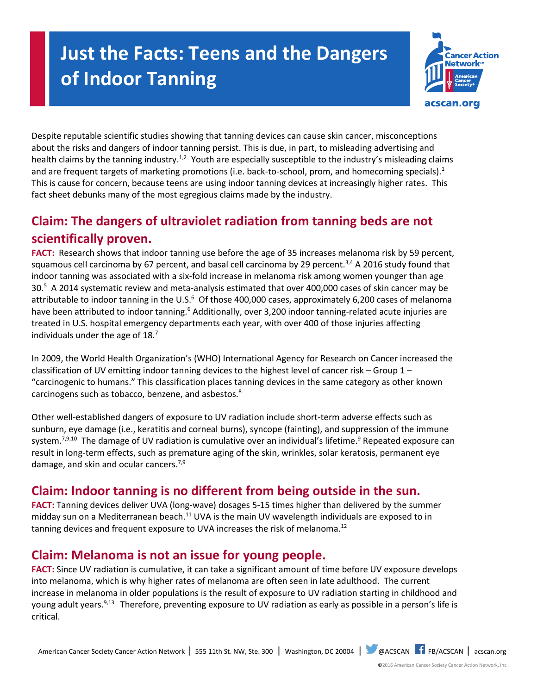# **Just the Facts: Teens and the Dangers of Indoor Tanning**



Despite reputable scientific studies showing that tanning devices can cause skin cancer, misconceptions about the risks and dangers of indoor tanning persist. This is due, in part, to misleading advertising and health claims by the tanning industry.<sup>1,2</sup> Youth are especially susceptible to the industry's misleading claims and are frequent targets of marketing promotions (i.e. back-to-school, prom, and homecoming specials).<sup>1</sup> This is cause for concern, because teens are using indoor tanning devices at increasingly higher rates. This fact sheet debunks many of the most egregious claims made by the industry.

# **Claim: The dangers of ultraviolet radiation from tanning beds are not scientifically proven.**

**FACT:** Research shows that indoor tanning use before the age of 35 increases melanoma risk by 59 percent, squamous cell carcinoma by 67 percent, and basal cell carcinoma by 29 percent. $3,4$  A 2016 study found that indoor tanning was associated with a six-fold increase in melanoma risk among women younger than age 30.<sup>5</sup> A 2014 systematic review and meta-analysis estimated that over 400,000 cases of skin cancer may be attributable to indoor tanning in the U.S.<sup>6</sup> Of those 400,000 cases, approximately 6,200 cases of melanoma have been attributed to indoor tanning.<sup>6</sup> Additionally, over 3,200 indoor tanning-related acute injuries are treated in U.S. hospital emergency departments each year, with over 400 of those injuries affecting individuals under the age of 18.<sup>7</sup>

In 2009, the World Health Organization's (WHO) International Agency for Research on Cancer increased the classification of UV emitting indoor tanning devices to the highest level of cancer risk – Group 1 – "carcinogenic to humans." This classification places tanning devices in the same category as other known carcinogens such as tobacco, benzene, and asbestos.<sup>8</sup>

Other well-established dangers of exposure to UV radiation include short-term adverse effects such as sunburn, eye damage (i.e., keratitis and corneal burns), syncope (fainting), and suppression of the immune system.<sup>7,9,10</sup> The damage of UV radiation is cumulative over an individual's lifetime.<sup>9</sup> Repeated exposure can result in long-term effects, such as premature aging of the skin, wrinkles, solar keratosis, permanent eye damage, and skin and ocular cancers.<sup>7,9</sup>

# **Claim: Indoor tanning is no different from being outside in the sun.**

**FACT:** Tanning devices deliver UVA (long-wave) dosages 5-15 times higher than delivered by the summer midday sun on a Mediterranean beach.<sup>11</sup> UVA is the main UV wavelength individuals are exposed to in tanning devices and frequent exposure to UVA increases the risk of melanoma.<sup>12</sup>

# **Claim: Melanoma is not an issue for young people.**

**FACT:** Since UV radiation is cumulative, it can take a significant amount of time before UV exposure develops into melanoma, which is why higher rates of melanoma are often seen in late adulthood. The current increase in melanoma in older populations is the result of exposure to UV radiation starting in childhood and young adult years.<sup>9,13</sup> Therefore, preventing exposure to UV radiation as early as possible in a person's life is critical.

American Cancer Society Cancer Action Network | 555 11th St. NW, Ste. 300 | Washington, DC 20004 | @ACSCAN | FB/ACSCAN | acscan.org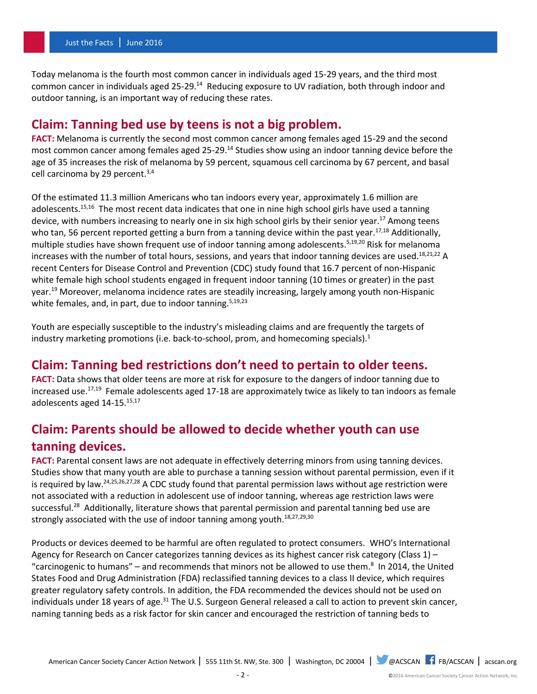Today melanoma is the fourth most common cancer in individuals aged 15-29 years, and the third most common cancer in individuals aged 25-29.<sup>14</sup> Reducing exposure to UV radiation, both through indoor and outdoor tanning, is an important way of reducing these rates.

### **Claim: Tanning bed use by teens is not a big problem.**

**FACT:** Melanoma is currently the second most common cancer among females aged 15-29 and the second most common cancer among females aged 25-29.<sup>14</sup> Studies show using an indoor tanning device before the age of 35 increases the risk of melanoma by 59 percent, squamous cell carcinoma by 67 percent, and basal cell carcinoma by 29 percent.<sup>3,4</sup>

Of the estimated 11.3 million Americans who tan indoors every year, approximately 1.6 million are adolescents.<sup>15,16</sup> The most recent data indicates that one in nine high school girls have used a tanning device, with numbers increasing to nearly one in six high school girls by their senior year.<sup>17</sup> Among teens who tan, 56 percent reported getting a burn from a tanning device within the past year.<sup>17,18</sup> Additionally, multiple studies have shown frequent use of indoor tanning among adolescents.<sup>5,19,20</sup> Risk for melanoma increases with the number of total hours, sessions, and years that indoor tanning devices are used.<sup>18,21,22</sup> A recent Centers for Disease Control and Prevention (CDC) study found that 16.7 percent of non-Hispanic white female high school students engaged in frequent indoor tanning (10 times or greater) in the past year.<sup>19</sup> Moreover, melanoma incidence rates are steadily increasing, largely among youth non-Hispanic white females, and, in part, due to indoor tanning.  $5,19,23$ 

Youth are especially susceptible to the industry's misleading claims and are frequently the targets of industry marketing promotions (i.e. back-to-school, prom, and homecoming specials). $1$ 

### **Claim: Tanning bed restrictions don't need to pertain to older teens.**

**FACT:** Data shows that older teens are more at risk for exposure to the dangers of indoor tanning due to increased use.<sup>17,19</sup> Female adolescents aged 17-18 are approximately twice as likely to tan indoors as female adolescents aged 14-15.15,17

## **Claim: Parents should be allowed to decide whether youth can use tanning devices.**

FACT: Parental consent laws are not adequate in effectively deterring minors from using tanning devices. Studies show that many youth are able to purchase a tanning session without parental permission, even if it is required by law.24,25,26,27,28 A CDC study found that parental permission laws without age restriction were not associated with a reduction in adolescent use of indoor tanning, whereas age restriction laws were successful.<sup>28</sup> Additionally, literature shows that parental permission and parental tanning bed use are strongly associated with the use of indoor tanning among youth. $18,27,29,30$ 

Products or devices deemed to be harmful are often regulated to protect consumers. WHO's International Agency for Research on Cancer categorizes tanning devices as its highest cancer risk category (Class 1) – "carcinogenic to humans" – and recommends that minors not be allowed to use them. $8\,$  In 2014, the United States Food and Drug Administration (FDA) reclassified tanning devices to a class II device, which requires greater regulatory safety controls. In addition, the FDA recommended the devices should not be used on individuals under 18 years of age.<sup>31</sup> The U.S. Surgeon General released a call to action to prevent skin cancer, naming tanning beds as a risk factor for skin cancer and encouraged the restriction of tanning beds to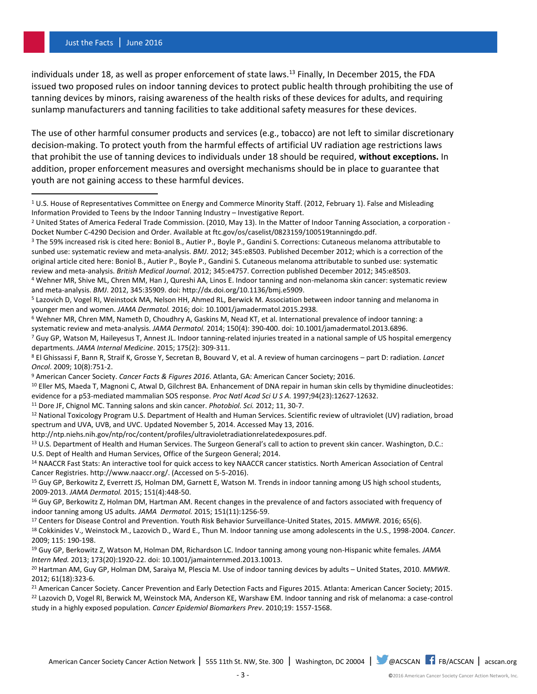#### Just the Facts | June 2016

 $\overline{\phantom{a}}$ 

individuals under 18, as well as proper enforcement of state laws.<sup>13</sup> Finally, In December 2015, the FDA issued two proposed rules on indoor tanning devices to protect public health through prohibiting the use of tanning devices by minors, raising awareness of the health risks of these devices for adults, and requiring sunlamp manufacturers and tanning facilities to take additional safety measures for these devices.

The use of other harmful consumer products and services (e.g., tobacco) are not left to similar discretionary decision-making. To protect youth from the harmful effects of artificial UV radiation age restrictions laws that prohibit the use of tanning devices to individuals under 18 should be required, **without exceptions.** In addition, proper enforcement measures and oversight mechanisms should be in place to guarantee that youth are not gaining access to these harmful devices.

<sup>11</sup> Dore JF, Chignol MC. Tanning salons and skin cancer. *Photobiol. Sci.* 2012; 11, 30-7.

<sup>12</sup> National Toxicology Program U.S. Department of Health and Human Services. Scientific review of ultraviolet (UV) radiation, broad spectrum and UVA, UVB, and UVC. Updated November 5, 2014. Accessed May 13, 2016.

http://ntp.niehs.nih.gov/ntp/roc/content/profiles/ultravioletradiationrelatedexposures.pdf.

<sup>13</sup> U.S. Department of Health and Human Services. The Surgeon General's call to action to prevent skin cancer. Washington, D.C.: U.S. Dept of Health and Human Services, Office of the Surgeon General; 2014.

<sup>17</sup> Centers for Disease Control and Prevention. Youth Risk Behavior Surveillance-United States, 2015. *MMWR*. 2016; 65(6).

 $1$  U.S. House of Representatives Committee on Energy and Commerce Minority Staff. (2012, February 1). False and Misleading Information Provided to Teens by the Indoor Tanning Industry – Investigative Report.

<sup>2</sup> United States of America Federal Trade Commission. (2010, May 13). In the Matter of Indoor Tanning Association, a corporation - Docket Number C-4290 Decision and Order. Available at ftc.gov/os/caselist/0823159/100519tanningdo.pdf.

<sup>3</sup> The 59% increased risk is cited here: Boniol B., Autier P., Boyle P., Gandini S. Corrections: Cutaneous melanoma attributable to sunbed use: systematic review and meta-analysis. *BMJ*. 2012; 345:e8503. Published December 2012; which is a correction of the original article cited here: Boniol B., Autier P., Boyle P., Gandini S. Cutaneous melanoma attributable to sunbed use: systematic review and meta-analysis. *British Medical Journal*. 2012; 345:e4757. Correction published December 2012; 345:e8503.

<sup>4</sup> Wehner MR, Shive ML, Chren MM, Han J, Qureshi AA, Linos E. Indoor tanning and non-melanoma skin cancer: systematic review and meta-analysis. *BMJ*. 2012, 345:35909. doi: http://dx.doi.org/10.1136/bmj.e5909.

<sup>5</sup> Lazovich D, Vogel RI, Weinstock MA, Nelson HH, Ahmed RL, Berwick M. Association between indoor tanning and melanoma in younger men and women. *JAMA Dermatol.* 2016; doi: 10.1001/jamadermatol.2015.2938.

<sup>6</sup> Wehner MR, Chren MM, Nameth D, Choudhry A, Gaskins M, Nead KT, et al. International prevalence of indoor tanning: a systematic review and meta-analysis. *JAMA Dermatol.* 2014; 150(4): 390-400. doi: 10.1001/jamadermatol.2013.6896.

<sup>&</sup>lt;sup>7</sup> Guy GP, Watson M, Haileyesus T, Annest JL. Indoor tanning-related injuries treated in a national sample of US hospital emergency departments. *JAMA Internal Medicine*. 2015; 175(2): 309-311.

<sup>8</sup> El Ghissassi F, Bann R, Straif K, Grosse Y, Secretan B, Bouvard V, et al. A review of human carcinogens – part D: radiation. *Lancet Oncol*. 2009; 10(8):751-2.

<sup>9</sup> American Cancer Society. *Cancer Facts & Figures 2016*. Atlanta, GA: American Cancer Society; 2016.

<sup>&</sup>lt;sup>10</sup> Eller MS, Maeda T, Magnoni C, Atwal D, Gilchrest BA. Enhancement of DNA repair in human skin cells by thymidine dinucleotides: evidence for a p53-mediated mammalian SOS response. *Proc Natl Acad Sci U S A*. 1997;94(23):12627-12632.

<sup>&</sup>lt;sup>14</sup> NAACCR Fast Stats: An interactive tool for quick access to key NAACCR cancer statistics. North American Association of Central Cancer Registries. http://www.naaccr.org/. (Accessed on 5-5-2016).

<sup>&</sup>lt;sup>15</sup> Guy GP, Berkowitz Z, Everrett JS, Holman DM, Garnett E, Watson M. Trends in indoor tanning among US high school students, 2009-2013. *JAMA Dermatol.* 2015; 151(4):448-50.

<sup>16</sup> Guy GP, Berkowitz Z, Holman DM, Hartman AM. Recent changes in the prevalence of and factors associated with frequency of indoor tanning among US adults. *JAMA Dermatol.* 2015; 151(11):1256-59.

<sup>18</sup> Cokkinides V., Weinstock M., Lazovich D., Ward E., Thun M. Indoor tanning use among adolescents in the U.S., 1998-2004. *Cancer*. 2009; 115: 190-198.

<sup>19</sup> Guy GP, Berkowitz Z, Watson M, Holman DM, Richardson LC. Indoor tanning among young non-Hispanic white females. *JAMA Intern Med.* 2013; 173(20):1920-22. doi: 10.1001/jamainternmed.2013.10013.

<sup>20</sup> Hartman AM, Guy GP, Holman DM, Saraiya M, Plescia M. Use of indoor tanning devices by adults – United States, 2010. *MMWR*. 2012; 61(18):323-6.

<sup>&</sup>lt;sup>21</sup> American Cancer Society. Cancer Prevention and Early Detection Facts and Figures 2015. Atlanta: American Cancer Society; 2015. <sup>22</sup> Lazovich D, Vogel RI, Berwick M, Weinstock MA, Anderson KE, Warshaw EM. Indoor tanning and risk of melanoma: a case-control study in a highly exposed population. *Cancer Epidemiol Biomarkers Prev*. 2010;19: 1557-1568.